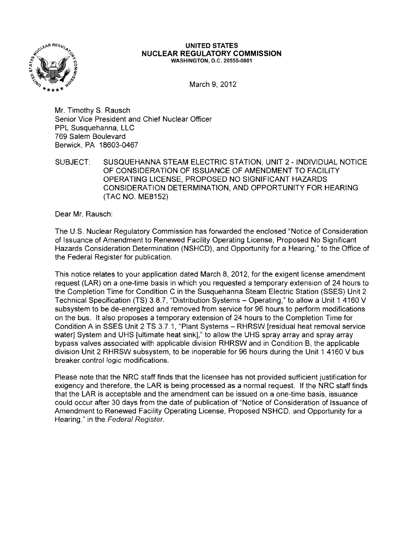

## **UNITED STATES NUCLEAR REGULATORY COMMISSION** WASHINGTON, D.C. 20555-0001

March 9, 2012

Mr. Timothy S. Rausch Senior Vice President and Chief Nuclear Officer PPL Susquehanna, LLC 769 Salem Boulevard Berwick, PA 18603-0467

SUBJECT: SUSQUEHANNA STEAM ELECTRIC STATION, UNIT 2 - INDIVIDUAL NOTICE OF CONSIDERATION OF ISSUANCE OF AMENDMENT TO FACILITY OPERATING LICENSE, PROPOSED NO SIGNIFICANT HAZARDS CONSIDERATION DETERMINATION, AND OPPORTUNITY FOR HEARING (TAC NO. ME8152)

Dear Mr. Rausch:

The U.S. Nuclear Regulatory Commission has forwarded the enclosed "Notice of Consideration of Issuance of Amendment to Renewed Facility Operating License, Proposed No Significant Hazards Consideration Determination (NSHCD), and Opportunity for a Hearing," to the Office of the Federal Register for publication.

This notice relates to your application dated March 8, 2012, for the exigent license amendment request (LAR) on a one-time basis in which you requested a temporary extension of 24 hours to the Completion Time for Condition C in the Susquehanna Steam Electric Station (SSES) Unit 2 Technical Specification (TS) 3.8.7, "Distribution Systems - Operating," to allow a Unit 1 4160 V subsystem to be de-energized and removed from service for 96 hours to perform modifications on the bus. It also proposes a temporary extension of 24 hours to the Completion Time for Condition A in SSES Unit 2 TS 3.7.1, "Plant Systems - RHRSW [residual heat removal service water] System and UHS [ultimate heat sink]," to allow the UHS spray array and spray array bypass valves associated with applicable division RHRSW and in Condition B, the applicable division Unit 2 RHRSW subsystem, to be inoperable for 96 hours during the Unit 1 4160 V bus breaker control logic modifications.

Please note that the NRC staff finds that the licensee has not provided sufficient justification for exigency and therefore, the LAR is being processed as a normal request. If the NRC staff finds that the LAR is acceptable and the amendment can be issued on a one-time basis, issuance could occur after 30 days from the date of publication of "Notice of Consideration of Issuance of Amendment to Renewed Facility Operating License, Proposed NSHCD, and Opportunity for a Hearing," in the Federal Register.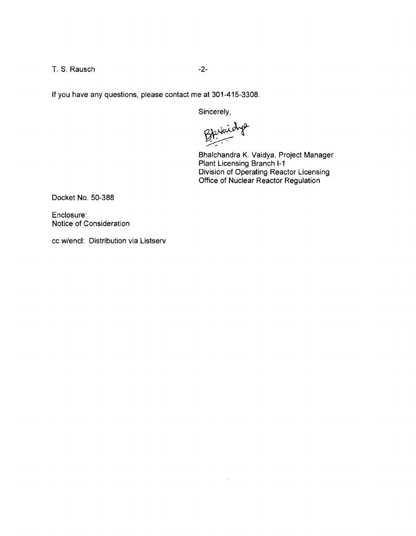T. S. Rausch -2-

**If** you have any questions, please contact me at 301-415-3308.

Sincerely,

BArraidys

 $\sim$ 

Bhalchandra K. Vaidya, Project Manager Plant Licensing Branch 1-1 Division of Operating Reactor Licensing Office of Nuclear Reactor Regulation

Docket No. 50-388

Enclosure: Notice of Consideration

cc w/encl: Distribution via Listserv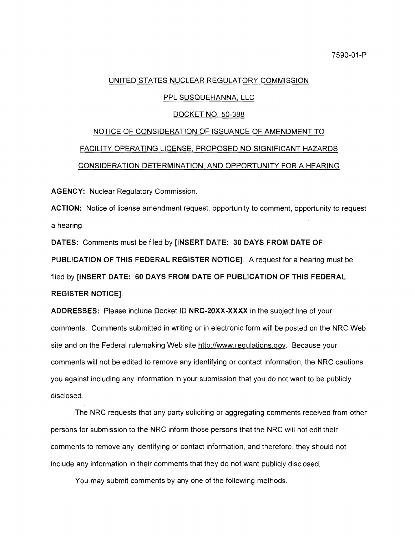## UNITED STATES NUCLEAR REGULATORY COMMISSION

# PPL SUSQUEHANNA, LLC

## DOCKET NO. 50-388

# NOTICE OF CONSIDERATION OF ISSUANCE OF AMENDMENT TO FACILITY OPERATING LICENSE, PROPOSED NO SIGNIFICANT HAZARDS CONSIDERATION DETERMINATION, AND OPPORTUNITY FOR A HEARING

AGENCY: Nuclear Regulatory Commission.

ACTION: Notice of license amendment request, opportunity to comment, opportunity to request a hearing.

DATES: Comments must be filed by [INSERT DATE: 30 DAYS FROM DATE OF PUBLICATION OF THIS FEDERAL REGISTER NOTICE], A request for a hearing must be filed by [INSERT DATE: 60 DAYS FROM DATE OF PUBLICATION OF THIS FEDERAL REGISTER NOTICE],

ADDRESSES: Please include Docket 10 NRC-20XX-XXXX in the subject line of your comments. Comments submitted in writing or in electronic form will be posted on the NRC Web site and on the Federal rulemaking Web site http://www.regulations.gov. Because your comments will not be edited to remove any identifying or contact information, the NRC cautions you against including any information in your submission that you do not want to be publicly disclosed.

The NRC requests that any party soliciting or aggregating comments received from other persons for submission to the NRC inform those persons that the NRC will not edit their comments to remove any identifying or contact information, and therefore, they should not include any information in their comments that they do not want publicly disclosed.

You may submit comments by anyone of the following methods.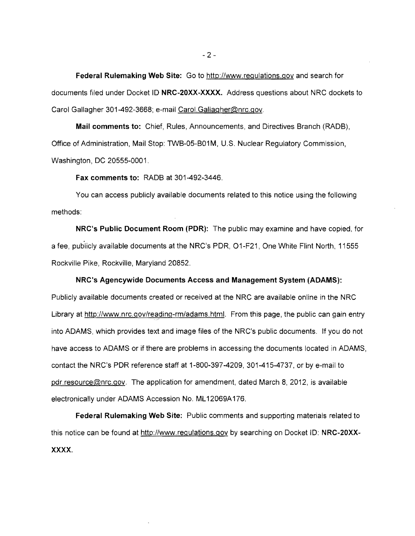Federal Rulemaking Web Site: Go to http://www.regulations.gov and search for documents filed under Docket ID NRC-20XX-XXXX. Address questions about NRC dockets to Carol Gallagher 301-492-3668; e-mail Carol.Gallagher@nrc.gov.

Mail comments to: Chief, Rules, Announcements, and Directives Branch (RADB), Office of Administration, Mail Stop: TWB-05-B01 M, U.S. Nuclear Regulatory Commission, Washington, DC 20555-0001.

Fax comments to: RADB at 301-492-3446.

You can access publicly available documents related to this notice using the following methods:

NRC's Public Document Room (PDR): The public may examine and have copied, for a fee, publicly available documents at the NRC's PDR, 01-F21, One White Flint North, 11555 Rockville Pike, Rockville, Maryland 20852.

# NRC's Agencywide Documents Access and Management System (ADAMS):

Publicly available documents created or received at the NRC are available online in the NRC Library at http://www.nrc.gov/reading-rm/adams.html. From this page, the public can gain entry into ADAMS, which provides text and image files of the NRC's public documents. If you do not have access to ADAMS or if there are problems in accessing the documents located in ADAMS, contact the NRC's PDR reference staff at 1-800-397-4209, 301-415-4737, or by e-mail to pdr,resource@nrc,gov. The application for amendment, dated March 8, 2012, is available electronically under ADAMS Accession No. ML 12069A 176.

Federal Rulemaking Web Site: Public comments and supporting materials related to this notice can be found at http://www.regulations.gov by searching on Docket ID: NRC-20XX-XXXX.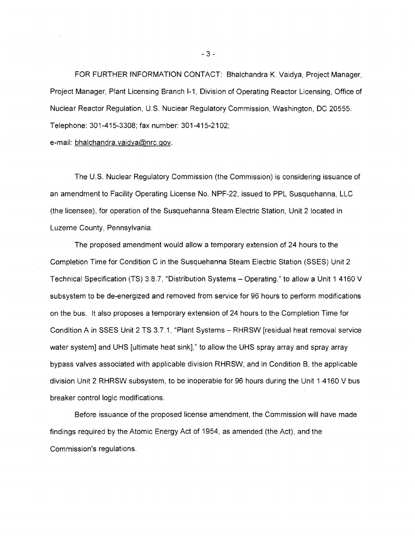FOR FURTHER INFORMATION CONTACT: Bhalchandra K. Vaidya, Project Manager, Project Manager, Plant Licensing Branch 1-1, Division of Operating Reactor Licensing, Office of Nuclear Reactor Regulation, U.S. Nuclear Regulatory Commission, Washington, DC 20555. Telephone: 301-415-3308; fax number: 301-415-2102;

e-mail: bhalchandra.vaidya@nrc.gov.

The U.S. Nuclear Regulatory Commission (the Commission) is considering issuance of an amendment to Facility Operating License No. NPF-22, issued to PPL Susquehanna, LLC (the licensee), for operation of the Susquehanna Steam Electric Station, Unit 2 located in Luzerne County, Pennsylvania.

The proposed amendment would allow a temporary extension of 24 hours to the Completion Time for Condition C in the Susquehanna Steam Electric Station (SSES) Unit 2 Technical Specification (TS) 3.8.7, "Distribution Systems - Operating," to allow a Unit 1 4160 V subsystem to be de-energized and removed from service for 96 hours to perform modifications on the bus. It also proposes a temporary extension of 24 hours to the Completion Time for Condition A in SSES Unit 2 TS 3.7.1, "Plant Systems - RHRSW [residual heat removal service water system] and UHS [ultimate heat sink]," to allow the UHS spray array and spray array bypass valves associated with applicable division RHRSW, and in Condition B, the applicable division Unit 2 RHRSW subsystem, to be inoperable for 96 hours during the Unit 1 4160 V bus breaker control logic modifications.

Before issuance of the proposed license amendment, the Commission will have made findings required by the Atomic Energy Act of 1954, as amended (the Act), and the Commission's regulations.

 $-3 -$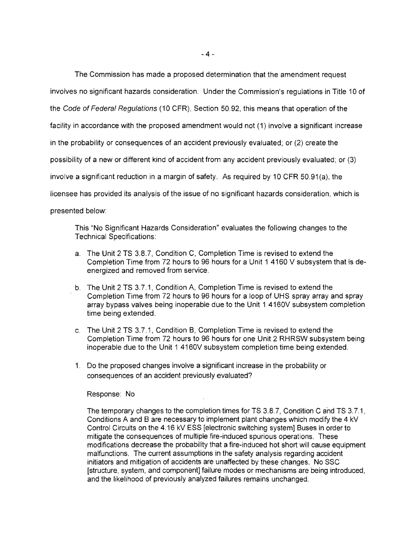The Commission has made a proposed determination that the amendment request involves no significant hazards consideration. Under the Commission's regulations in Title 10 of the Code of Federal Regulations (10 CFR), Section 50.92, this means that operation of the facility in accordance with the proposed amendment would not (1) involve a significant increase in the probability or consequences of an accident previously evaluated; or (2) create the possibility of a new or different kind of accident from any accident previously evaluated; or (3) involve a significant reduction in a margin of safety. As required by 10 CFR 50.91(a), the licensee has provided its analysis of the issue of no significant hazards consideration, which is presented below:

This "No Significant Hazards Consideration" evaluates the following changes to the Technical Specifications:

- a. The Unit 2 TS 3.8.7, Condition C, Completion Time is revised to extend the Completion Time from 72 hours to 96 hours for a Unit 1 4160 V subsystem that is de~ energized and removed from service.
- b. The Unit 2 TS 3.7.1, Condition A, Completion Time is revised to extend the Completion Time from 72 hours to 96 hours for a loop of UHS spray array and spray array bypass valves being inoperable due to the Unit 1 4160V subsystem completion time being extended.
- c. The Unit 2 TS 3.7.1, Condition B, Completion Time is revised to extend the Completion Time from 72 hours to 96 hours for one Unit 2 RHRSW subsystem being inoperable due to the Unit 1 4160V subsystem completion time being extended.
- 1. Do the proposed changes involve a significant increase in the probability or consequences of an accident previously evaluated?

Response: No

The temporary changes to the completion times for TS 3.8.7, Condition C and TS 3.7.1, Conditions A and B are necessary to implement plant changes which modify the 4 kV Control Circuits on the 4.16 kV ESS [electronic switching system] Buses in order to mitigate the consequences of multiple fire~induced spurious operations. These modifications decrease the probability that a fire-induced hot short will cause equipment malfunctions. The current assumptions in the safety analysis regarding accident initiators and mitigation of accidents are unaffected by these changes. No SSC [structure, system, and component] failure modes or mechanisms are being introduced, and the likelihood of previously analyzed failures remains unchanged.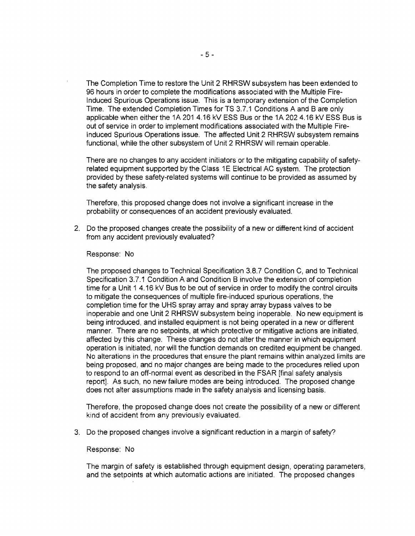The Completion Time to restore the Unit 2 RHRSW subsystem has been extended to 96 hours in order to complete the modifications associated with the Multiple Fire-Induced Spurious Operations issue. This is a temporary extension of the Completion Time. The extended Completion Times for TS 3.7.1 Conditions A and B are only applicable when either the 1A 201 4.16 kV ESS Bus or the 1A 202 4.16 kV ESS Bus is out of service in order to implement modifications associated with the Multiple Fire-Induced Spurious Operations issue. The affected Unit 2 RHRSW subsystem remains functional, while the other subsystem of Unit 2 RHRSW will remain operable.

There are no changes to any accident initiators or to the mitigating capability of safetyrelated equipment supported by the Class 1E Electrical AC system. The protection provided by these safety-related systems will continue to be provided as assumed by the safety analysis.

Therefore, this proposed change does not involve a significant increase in the probability or consequences of an accident previously evaluated.

2. Do the proposed changes create the possibility of a new or different kind of accident from any accident previously evaluated?

#### Response: No

The proposed changes to Technical Specification 3.8.7 Condition C, and to Technical Specification 3.7.1 Condition A and Condition B involve the extension of completion time for a Unit 1 4.16 kV Bus to be out of service in order to modify the control circuits to mitigate the consequences of multiple fire-induced spurious operations, the completion time for the UHS spray array and spray array bypass valves to be inoperable and one Unit 2 RHRSW subsystem being inoperable. No new equipment is being introduced, and installed equipment is not being operated in a new or different manner. There are no setpoints, at which protective or mitigative actions are initiated, affected by this change. These changes do not alter the manner in which equipment operation is initiated, nor will the function demands on credited equipment be changed. No alterations in the procedures that ensure the plant remains within analyzed limits are being proposed, and no major changes are being made to the procedures relied upon to respond to an off-normal event as described in the FSAR [final safety analysis report]. As such, no new failure modes are being introduced. The proposed change does not alter assumptions made in the safety analysis and licensing basis.

Therefore, the proposed change does not create the possibility of a new or different kind of accident from any previously evaluated.

3. Do the proposed changes involve a significant reduction in a margin of safety?

### Response: No

The margin of safety is established through equipment design, operating parameters, and the setpoints at which automatic actions are initiated. The proposed changes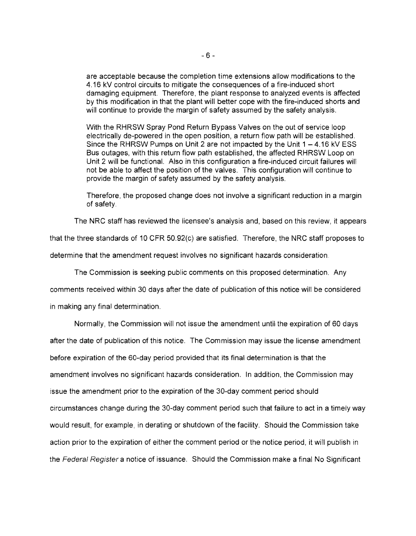are acceptable because the completion time extensions allow modifications to the 4.16 kV control circuits to mitigate the consequences of a fire-induced short damaging equipment. Therefore, the plant response to analyzed events is affected by this modification in that the plant will better cope with the fire-induced shorts and will continue to provide the margin of safety assumed by the safety analysis.

With the RHRSW Spray Pond Return Bypass Valves on the out of service loop electrically de-powered in the open position, a return flow path will be established. Since the RHRSW Pumps on Unit 2 are not impacted by the Unit  $1 - 4.16$  kV ESS Bus outages, with this return flow path established, the affected RHRSW Loop on Unit 2 will be functional. Also in this configuration a fire-induced circuit failures will not be able to affect the position of the valves. This configuration will continue to provide the margin of safety assumed by the safety analysis.

Therefore, the proposed change does not involve a significant reduction in a margin of safety.

The NRC staff has reviewed the licensee's analysis and, based on this review, it appears

that the three standards of 10 CFR 50.92(c} are satisfied. Therefore, the \\IRC staff proposes to determine that the amendment request involves no significant hazards consideration.

The Commission is seeking public comments on this proposed determination. Any

comments received within 30 days after the date of publication of this notice will be considered

in making any final determination.

Normally, the Commission will not issue the amendment until the expiration of 60 days after the date of publication of this notice. The Commission may issue the license amendment before expiration of the 60-day period provided that its final determination is that the amendment involves no significant hazards consideration. In addition, the Commission may issue the amendment prior to the expiration of the 30-day comment period should circumstances change during the 30-day comment period such that failure to act in a timely way would result, for example, in derating or shutdown of the facility. Should the Commission take action prior to the expiration of either the comment period or the notice period, it will publish in the Federal Register a notice of issuance. Should the Commission make a final No Significant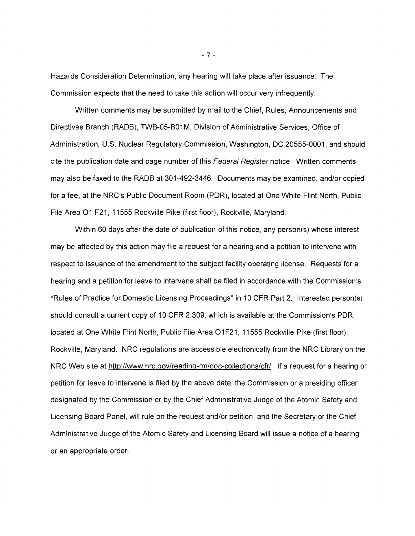Hazards Consideration Determination, any hearing will take place after issuance. The Commission expects that the need to take this action will occur very infrequently.

Written comments may be submitted by mail to the Chief, Rules, Announcements and Directives Branch (RADB), TWB-05-B01 M, Division of Administrative Services, Office of Administration, U.S. Nuclear Regulatory Commission, Washington, DC 20555-0001, and should cite the publication date and page number of this Federal Register notice. Written comments may also be faxed to the RADB at 301-492-3446. Documents may be examined, and/or copied for a fee, at the NRC's Public Document Room (PDR), located at One White Flint North, Public File Area 01 F21, 11555 Rockville Pike (first floor), Rockville, Maryland.

Within 60 days after the date of publication of this notice, any person(s) whose interest may be affected by this action may file a request for a hearing and a petition to intervene with respect to issuance of the amendment to the subject facility operating license. Requests for a hearing and a petition for leave to intervene shall be filed in accordance with the Commission's "Rules of Practice for Domestic Licensing Proceedings" in 10 CFR Part 2. Interested person(s) should consult a current copy of 10 CFR 2.309, which is available at the Commission's PDR, located at One White Flint North, Public File Area O1F21, 11555 Rockville Pike (first floor), Rockville, Maryland. NRC regulations are accessible electronically from the NRC Library on the NRC Web site at http://www.nrc.gov/reading-rm/doc-collections/cfr/. If a request for a hearing or petition for leave to intervene is filed by the above date, the Commission or a presiding officer designated by the Commission or by the Chief Administrative Judge of the Atomic Safety and Licensing Board Panel, will rule on the request and/or petition; and the Secretary or the Chief Administrative Judge of the Atomic Safety and Licensing Board will issue a notice of a hearing or an appropriate order.

 $-7 -$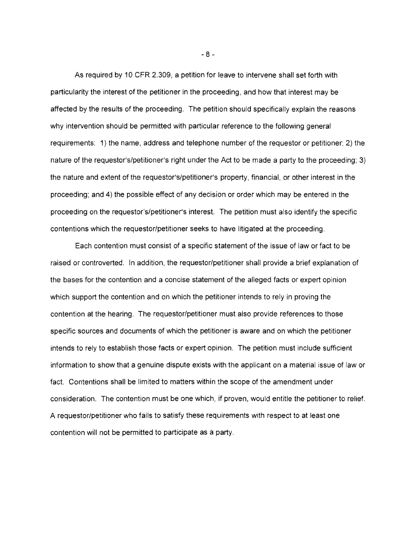As required by 10 CFR 2.309, a petition for leave to intervene shall set forth with particularity the interest of the petitioner in the proceeding, and how that interest may be affected by the results of the proceeding. The petition should specifically explain the reasons why intervention should be permitted with particular reference to the following general requirements: 1) the name, address and telephone number of the requestor or petitioner; 2) the nature of the requestor's/petitioner's right under the Act to be made a party to the proceeding; 3) the nature and extent of the requestor's/petitioner's property, financial, or other interest in the proceeding; and 4) the possible effect of any decision or order which may be entered in the proceeding on the requestor's/petitioner's interest. The petition must also identify the specific contentions which the requestor/petitioner seeks to have litigated at the proceeding.

Each contention must consist of a specific statement of the issue of law or fact to be raised or controverted. In addition, the requestor/petitioner shall provide a brief explanation of the bases for the contention and a concise statement of the alleged facts or expert opinion which support the contention and on which the petitioner intends to rely in proving the contention at the hearing. The requestor/petitioner must also provide references to those specific sources and documents of which the petitioner is aware and on which the petitioner intends to rely to establish those facts or expert opinion. The petition must include sufficient information to show that a genuine dispute exists with the applicant on a material issue of law or fact. Contentions shall be limited to matters within the scope of the amendment under consideration. The contention must be one which, if proven, would entitle the petitioner to relief. A requestor/petitioner who fails to satisfy these requirements with respect to at least one contention will not be permitted to participate as a party.

 $-8 -$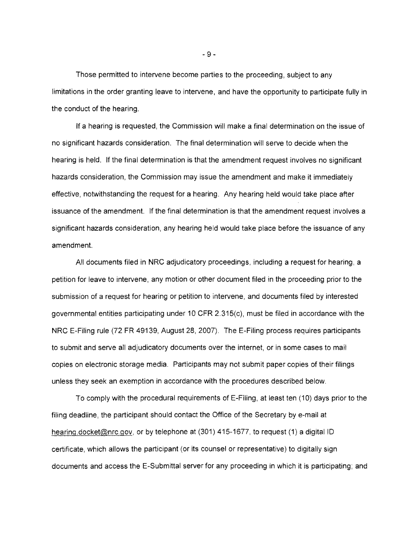Those permitted to intervene become parties to the proceeding, subject to any limitations in the order granting leave to intervene, and have the opportunity to participate fully in the conduct of the hearing.

If a hearing is requested, the Commission will make a final determination on the issue of no significant hazards consideration. The final determination will serve to decide when the hearing is held. If the final determination is that the amendment request involves no significant hazards consideration, the Commission may issue the amendment and make it immediately effective, notwithstanding the request for a hearing. Any hearing held would take place after issuance of the amendment. If the final determination is that the amendment request involves a significant hazards consideration, any hearing held would take place before the issuance of any amendment.

All documents filed in NRC adjudicatory proceedings, including a request for hearing, a petition for leave to intervene, any motion or other document filed in the proceeding prior to the submission of a request for hearing or petition to intervene, and documents filed by interested governmental entities participating under 10 CFR 2.315(c), must be filed in accordance with the NRC E-Filing rule (72 FR 49139, August 28, 2007). The E-Filing process requires participants to submit and serve all adjudicatory documents over the internet, or in some cases to mail copies on electronic storage media. Participants may not submit paper copies of their filings unless they seek an exemption in accordance with the procedures described below.

To comply with the procedural requirements of E-Filing, at least ten (10) days prior to the filing deadline, the participant should contact the Office of the Secretary by e-mail at hearing.docket@nrc.gov, or by telephone at (301) 415-1677, to request (1) a digital ID certificate, which allows the participant (or its counsel or representative) to digitally sign documents and access the E-Submittal server for any proceeding in which it is participating; and

 $-9-$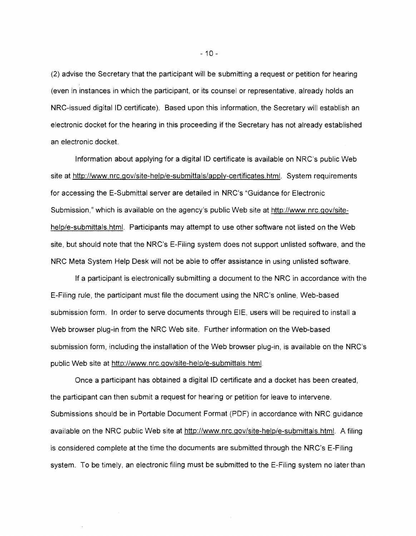(2) advise the Secretary that the participant will be submitting a request or petition for hearing (even in instances in which the participant, or its counsel or representative, already holds an NRC-issued digital ID certificate). Based upon this information, the Secretary will establish an electronic docket for the hearing in this proceeding if the Secretary has not already established an electronic docket.

Information about applying for a digital ID certificate is available on NRC's public Web site at http://www.nrc.gov/site-help/e-submittals/apply-certificates.html. System requirements for accessing the E-Submittal server are detailed in NRC's "Guidance for Electronic Submission," which is available on the agency's public Web site at http://www.nrc.gov/sitehelp/e-submittals.html. Participants may attempt to use other software not listed on the Web site, but should note that the NRC's E-Filing system does not support unlisted software, and the NRC Meta System Help Desk will not be able to offer assistance in using unlisted software.

If a participant is electronically submitting a document to the NRC in accordance with the E-Filing rule, the participant must file the document using the NRC's online, Web-based submission form. In order to serve documents through EIE, users will be required to install a Web browser plug-in from the NRC Web site. Further information on the Web-based submission form, including the installation of the Web browser plug-in, is available on the NRC's public Web site at http://www.nrc.gov/site-help/e-submittals.html.

Once a participant has obtained a digital ID certificate and a docket has been created, the participant can then submit a request for hearing or petition for leave to intervene. Submissions should be in Portable Document Format (PDF) in accordance with NRC guidance available on the NRC public Web site at http://www.nrc.gov/site-help/e-submittals.html. A filing is considered complete at the time the documents are submitted through the NRC's E-Filing system. To be timely, an electronic filing must be submitted to the E-Filing system no later than

 $-10-$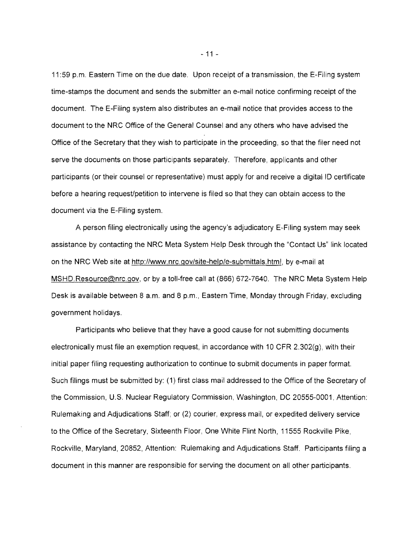11 :59 p.m. Eastern Time on the due date. Upon receipt of a transmission, the E-Filing system time-stamps the document and sends the submitter an e-mail notice confirming receipt of the document. The E-Filing system also distributes an e-mail notice that provides access to the document to the NRC Office of the General Counsel and any others who have advised the Office of the Secretary that they wish to participate in the proceeding, so that the filer need not serve the documents on those participants separately. Therefore, applicants and other participants (or their counsel or representative) must apply for and receive a digital ID certificate before a hearing request/petition to intervene is filed so that they can obtain access to the document via the E-Filing system.

A person filing electronically using the agency's adjudicatory E-Filing system may seek assistance by contacting the NRC Meta System Help Desk through the "Contact Us" link located on the NRC Web site at http://www.nrc.gov/site-help/e-submittals.html.by e-mail at MSHD.Resource@nrc.gov, or by a toll-free call at (866) 672-7640. The NRC Meta System Help Desk is available between 8 a.m. and 8 p.m., Eastern Time, Monday through Friday, excluding government holidays.

Participants who believe that they have a good cause for not submitting documents electronically must file an exemption request, in accordance with 10 CFR 2.302(g), with their initial paper filing requesting authorization to continue to submit documents in paper format. Such filings must be submitted by: (1) first class mail addressed to the Office of the Secretary of the Commission, U.S. Nuclear Regulatory Commission, Washington, DC 20555-0001, Attention: Rulemaking and Adjudications Staff; or (2) courier, express mail, or expedited delivery service to the Office of the Secretary, Sixteenth Floor, One White Flint North, 11555 Rockville Pike, Rockville, Maryland, 20852, Attention: Rulemaking and Adjudications Staff. Participants filing a document in this manner are responsible for serving the document on all other participants.

 $-11-$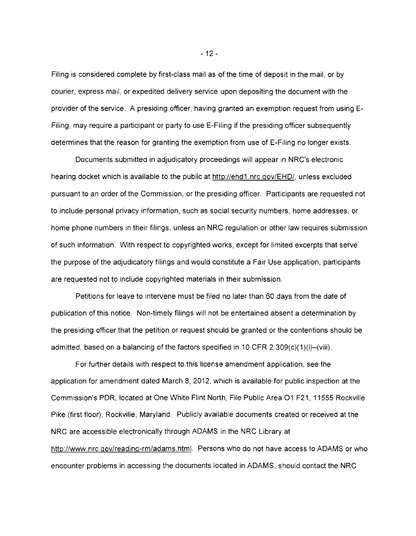Filing is considered complete by first-class mail as of the time of deposit in the mail, or by courier, express mail, or expedited delivery service upon depositing the document with the provider of the service. A presiding officer, having granted an exemption request from using E-Filing, may require a participant or party to use E-Filing if the presiding officer subsequently determines that the reason for granting the exemption from use of E-Filing no longer exists.

Documents submitted in adjudicatory proceedings will appear in NRC's electronic hearing docket which is available to the public at http://ehd1.nrc.gov/EHD/, unless excluded pursuant to an order of the Commission, or the presiding officer. Participants are requested not to include personal privacy information, such as social security numbers, home addresses, or home phone numbers in their filings, unless an NRC regulation or other law requires submission of such information. With respect to copyrighted works, except for limited excerpts that serve the purpose of the adjudicatory filings and would constitute a Fair Use application, participants are requested not to include copyrighted materials in their submission.

Petitions for leave to intervene must be filed no later than 60 days from the date of publication of this notice. Non-timely filings will not be entertained absent a determination by the presiding officer that the petition or request should be granted or the contentions should be admitted, based on a balancing of the factors specified in 10 CFR  $2.309(c)(1)(i)$ –(viii).

For further details with respect to this license amendment application, see the application for amendment dated March 8, 2012, which is available for public inspection at the Commission's PDR, located at One White Flint North, File Public Area 01 F21, 11555 Rockville Pike (first floor), Rockville, Maryland. Publicly available documents created or received at the NRC are accessible electronically through ADAMS in the NRC Library at http://www.nrc.gov/reading-rm/adams.html. Persons who do not have access to ADAMS or who encounter problems in accessing the documents located in ADAMS, should contact the NRC

 $-12-$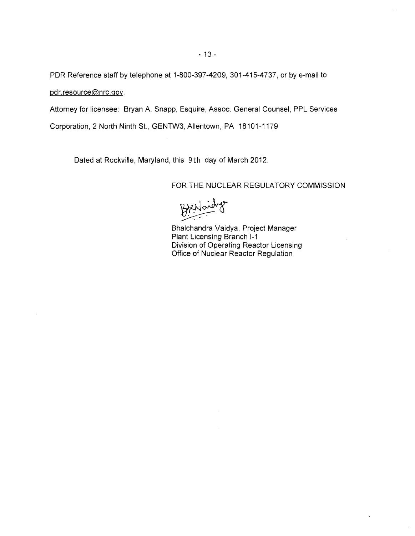PDR Reference staff by telephone at 1-800-397-4209, 301-415-4737, or by e-mail to pdr.resource@nrc.gov.

Attorney for licensee: Bryan A. Snapp, Esquire, Assoc. General Counsel, PPL Services

Corporation, 2 North Ninth St., GENTW3, Allentown, PA 18101-1179

Dated at Rockville, Maryland, this 9th day of March 2012.

FOR THE NUCLEAR REGULATORY COMMISSION

BAXNoidys

Bhalchandra Vaidya, Project Manager Plant Licensing Branch 1-1 Division of Operating Reactor Licensing Office of Nuclear Reactor Regulation